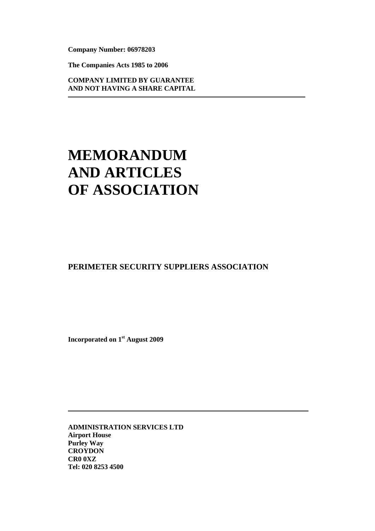**Company Number: 06978203** 

**The Companies Acts 1985 to 2006** 

**COMPANY LIMITED BY GUARANTEE AND NOT HAVING A SHARE CAPITAL** 

# **MEMORANDUM AND ARTICLES OF ASSOCIATION**

**PERIMETER SECURITY SUPPLIERS ASSOCIATION** 

**Incorporated on 1st August 2009** 

**ADMINISTRATION SERVICES LTD Airport House Purley Way CROYDON CR0 0XZ Tel: 020 8253 4500**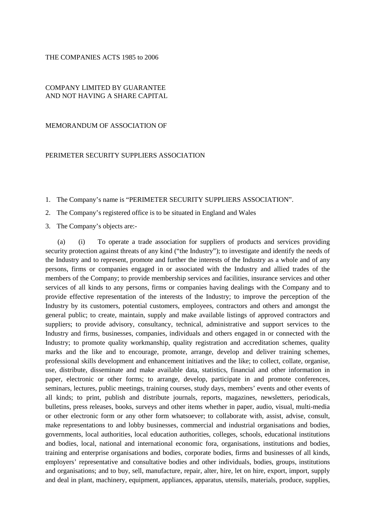#### THE COMPANIES ACTS 1985 to 2006

# COMPANY LIMITED BY GUARANTEE AND NOT HAVING A SHARE CAPITAL

#### MEMORANDUM OF ASSOCIATION OF

#### PERIMETER SECURITY SUPPLIERS ASSOCIATION

- 1. The Company's name is "PERIMETER SECURITY SUPPLIERS ASSOCIATION".
- 2. The Company's registered office is to be situated in England and Wales
- 3. The Company's objects are:-

 (a) (i) To operate a trade association for suppliers of products and services providing security protection against threats of any kind ("the Industry"); to investigate and identify the needs of the Industry and to represent, promote and further the interests of the Industry as a whole and of any persons, firms or companies engaged in or associated with the Industry and allied trades of the members of the Company; to provide membership services and facilities, insurance services and other services of all kinds to any persons, firms or companies having dealings with the Company and to provide effective representation of the interests of the Industry; to improve the perception of the Industry by its customers, potential customers, employees, contractors and others and amongst the general public; to create, maintain, supply and make available listings of approved contractors and suppliers; to provide advisory, consultancy, technical, administrative and support services to the Industry and firms, businesses, companies, individuals and others engaged in or connected with the Industry; to promote quality workmanship, quality registration and accreditation schemes, quality marks and the like and to encourage, promote, arrange, develop and deliver training schemes, professional skills development and enhancement initiatives and the like; to collect, collate, organise, use, distribute, disseminate and make available data, statistics, financial and other information in paper, electronic or other forms; to arrange, develop, participate in and promote conferences, seminars, lectures, public meetings, training courses, study days, members' events and other events of all kinds; to print, publish and distribute journals, reports, magazines, newsletters, periodicals, bulletins, press releases, books, surveys and other items whether in paper, audio, visual, multi-media or other electronic form or any other form whatsoever; to collaborate with, assist, advise, consult, make representations to and lobby businesses, commercial and industrial organisations and bodies, governments, local authorities, local education authorities, colleges, schools, educational institutions and bodies, local, national and international economic fora, organisations, institutions and bodies, training and enterprise organisations and bodies, corporate bodies, firms and businesses of all kinds, employers' representative and consultative bodies and other individuals, bodies, groups, institutions and organisations; and to buy, sell, manufacture, repair, alter, hire, let on hire, export, import, supply and deal in plant, machinery, equipment, appliances, apparatus, utensils, materials, produce, supplies,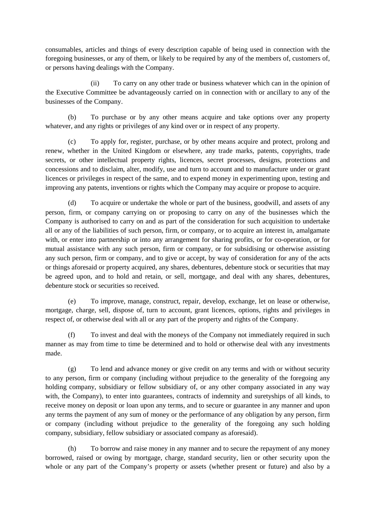consumables, articles and things of every description capable of being used in connection with the foregoing businesses, or any of them, or likely to be required by any of the members of, customers of, or persons having dealings with the Company.

 (ii) To carry on any other trade or business whatever which can in the opinion of the Executive Committee be advantageously carried on in connection with or ancillary to any of the businesses of the Company.

 (b) To purchase or by any other means acquire and take options over any property whatever, and any rights or privileges of any kind over or in respect of any property.

 (c) To apply for, register, purchase, or by other means acquire and protect, prolong and renew, whether in the United Kingdom or elsewhere, any trade marks, patents, copyrights, trade secrets, or other intellectual property rights, licences, secret processes, designs, protections and concessions and to disclaim, alter, modify, use and turn to account and to manufacture under or grant licences or privileges in respect of the same, and to expend money in experimenting upon, testing and improving any patents, inventions or rights which the Company may acquire or propose to acquire.

 (d) To acquire or undertake the whole or part of the business, goodwill, and assets of any person, firm, or company carrying on or proposing to carry on any of the businesses which the Company is authorised to carry on and as part of the consideration for such acquisition to undertake all or any of the liabilities of such person, firm, or company, or to acquire an interest in, amalgamate with, or enter into partnership or into any arrangement for sharing profits, or for co-operation, or for mutual assistance with any such person, firm or company, or for subsidising or otherwise assisting any such person, firm or company, and to give or accept, by way of consideration for any of the acts or things aforesaid or property acquired, any shares, debentures, debenture stock or securities that may be agreed upon, and to hold and retain, or sell, mortgage, and deal with any shares, debentures, debenture stock or securities so received.

 (e) To improve, manage, construct, repair, develop, exchange, let on lease or otherwise, mortgage, charge, sell, dispose of, turn to account, grant licences, options, rights and privileges in respect of, or otherwise deal with all or any part of the property and rights of the Company.

 (f) To invest and deal with the moneys of the Company not immediately required in such manner as may from time to time be determined and to hold or otherwise deal with any investments made.

 (g) To lend and advance money or give credit on any terms and with or without security to any person, firm or company (including without prejudice to the generality of the foregoing any holding company, subsidiary or fellow subsidiary of, or any other company associated in any way with, the Company), to enter into guarantees, contracts of indemnity and suretyships of all kinds, to receive money on deposit or loan upon any terms, and to secure or guarantee in any manner and upon any terms the payment of any sum of money or the performance of any obligation by any person, firm or company (including without prejudice to the generality of the foregoing any such holding company, subsidiary, fellow subsidiary or associated company as aforesaid).

 (h) To borrow and raise money in any manner and to secure the repayment of any money borrowed, raised or owing by mortgage, charge, standard security, lien or other security upon the whole or any part of the Company's property or assets (whether present or future) and also by a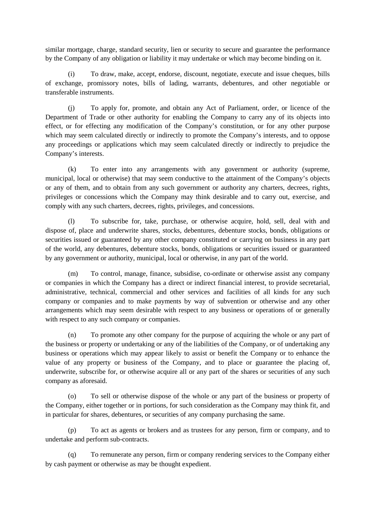similar mortgage, charge, standard security, lien or security to secure and guarantee the performance by the Company of any obligation or liability it may undertake or which may become binding on it.

 (i) To draw, make, accept, endorse, discount, negotiate, execute and issue cheques, bills of exchange, promissory notes, bills of lading, warrants, debentures, and other negotiable or transferable instruments.

 (j) To apply for, promote, and obtain any Act of Parliament, order, or licence of the Department of Trade or other authority for enabling the Company to carry any of its objects into effect, or for effecting any modification of the Company's constitution, or for any other purpose which may seem calculated directly or indirectly to promote the Company's interests, and to oppose any proceedings or applications which may seem calculated directly or indirectly to prejudice the Company's interests.

 (k) To enter into any arrangements with any government or authority (supreme, municipal, local or otherwise) that may seem conductive to the attainment of the Company's objects or any of them, and to obtain from any such government or authority any charters, decrees, rights, privileges or concessions which the Company may think desirable and to carry out, exercise, and comply with any such charters, decrees, rights, privileges, and concessions.

 (l) To subscribe for, take, purchase, or otherwise acquire, hold, sell, deal with and dispose of, place and underwrite shares, stocks, debentures, debenture stocks, bonds, obligations or securities issued or guaranteed by any other company constituted or carrying on business in any part of the world, any debentures, debenture stocks, bonds, obligations or securities issued or guaranteed by any government or authority, municipal, local or otherwise, in any part of the world.

 (m) To control, manage, finance, subsidise, co-ordinate or otherwise assist any company or companies in which the Company has a direct or indirect financial interest, to provide secretarial, administrative, technical, commercial and other services and facilities of all kinds for any such company or companies and to make payments by way of subvention or otherwise and any other arrangements which may seem desirable with respect to any business or operations of or generally with respect to any such company or companies.

 (n) To promote any other company for the purpose of acquiring the whole or any part of the business or property or undertaking or any of the liabilities of the Company, or of undertaking any business or operations which may appear likely to assist or benefit the Company or to enhance the value of any property or business of the Company, and to place or guarantee the placing of, underwrite, subscribe for, or otherwise acquire all or any part of the shares or securities of any such company as aforesaid.

 (o) To sell or otherwise dispose of the whole or any part of the business or property of the Company, either together or in portions, for such consideration as the Company may think fit, and in particular for shares, debentures, or securities of any company purchasing the same.

 (p) To act as agents or brokers and as trustees for any person, firm or company, and to undertake and perform sub-contracts.

 (q) To remunerate any person, firm or company rendering services to the Company either by cash payment or otherwise as may be thought expedient.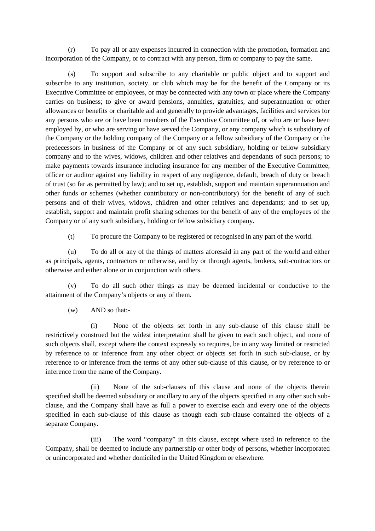(r) To pay all or any expenses incurred in connection with the promotion, formation and incorporation of the Company, or to contract with any person, firm or company to pay the same.

 (s) To support and subscribe to any charitable or public object and to support and subscribe to any institution, society, or club which may be for the benefit of the Company or its Executive Committee or employees, or may be connected with any town or place where the Company carries on business; to give or award pensions, annuities, gratuities, and superannuation or other allowances or benefits or charitable aid and generally to provide advantages, facilities and services for any persons who are or have been members of the Executive Committee of, or who are or have been employed by, or who are serving or have served the Company, or any company which is subsidiary of the Company or the holding company of the Company or a fellow subsidiary of the Company or the predecessors in business of the Company or of any such subsidiary, holding or fellow subsidiary company and to the wives, widows, children and other relatives and dependants of such persons; to make payments towards insurance including insurance for any member of the Executive Committee, officer or auditor against any liability in respect of any negligence, default, breach of duty or breach of trust (so far as permitted by law); and to set up, establish, support and maintain superannuation and other funds or schemes (whether contributory or non-contributory) for the benefit of any of such persons and of their wives, widows, children and other relatives and dependants; and to set up, establish, support and maintain profit sharing schemes for the benefit of any of the employees of the Company or of any such subsidiary, holding or fellow subsidiary company.

(t) To procure the Company to be registered or recognised in any part of the world.

 (u) To do all or any of the things of matters aforesaid in any part of the world and either as principals, agents, contractors or otherwise, and by or through agents, brokers, sub-contractors or otherwise and either alone or in conjunction with others.

 (v) To do all such other things as may be deemed incidental or conductive to the attainment of the Company's objects or any of them.

(w) AND so that:-

 (i) None of the objects set forth in any sub-clause of this clause shall be restrictively construed but the widest interpretation shall be given to each such object, and none of such objects shall, except where the context expressly so requires, be in any way limited or restricted by reference to or inference from any other object or objects set forth in such sub-clause, or by reference to or inference from the terms of any other sub-clause of this clause, or by reference to or inference from the name of the Company.

 (ii) None of the sub-clauses of this clause and none of the objects therein specified shall be deemed subsidiary or ancillary to any of the objects specified in any other such subclause, and the Company shall have as full a power to exercise each and every one of the objects specified in each sub-clause of this clause as though each sub-clause contained the objects of a separate Company.

 (iii) The word "company" in this clause, except where used in reference to the Company, shall be deemed to include any partnership or other body of persons, whether incorporated or unincorporated and whether domiciled in the United Kingdom or elsewhere.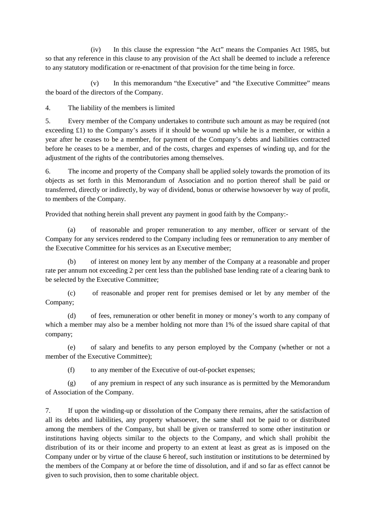(iv) In this clause the expression "the Act" means the Companies Act 1985, but so that any reference in this clause to any provision of the Act shall be deemed to include a reference to any statutory modification or re-enactment of that provision for the time being in force.

 (v) In this memorandum "the Executive" and "the Executive Committee" means the board of the directors of the Company.

4. The liability of the members is limited

5. Every member of the Company undertakes to contribute such amount as may be required (not exceeding  $\pounds$ 1) to the Company's assets if it should be wound up while he is a member, or within a year after he ceases to be a member, for payment of the Company's debts and liabilities contracted before he ceases to be a member, and of the costs, charges and expenses of winding up, and for the adjustment of the rights of the contributories among themselves.

6. The income and property of the Company shall be applied solely towards the promotion of its objects as set forth in this Memorandum of Association and no portion thereof shall be paid or transferred, directly or indirectly, by way of dividend, bonus or otherwise howsoever by way of profit, to members of the Company.

Provided that nothing herein shall prevent any payment in good faith by the Company:-

(a) of reasonable and proper remuneration to any member, officer or servant of the Company for any services rendered to the Company including fees or remuneration to any member of the Executive Committee for his services as an Executive member;

(b) of interest on money lent by any member of the Company at a reasonable and proper rate per annum not exceeding 2 per cent less than the published base lending rate of a clearing bank to be selected by the Executive Committee;

(c) of reasonable and proper rent for premises demised or let by any member of the Company;

(d) of fees, remuneration or other benefit in money or money's worth to any company of which a member may also be a member holding not more than 1% of the issued share capital of that company;

(e) of salary and benefits to any person employed by the Company (whether or not a member of the Executive Committee);

(f) to any member of the Executive of out-of-pocket expenses;

(g) of any premium in respect of any such insurance as is permitted by the Memorandum of Association of the Company.

7. If upon the winding-up or dissolution of the Company there remains, after the satisfaction of all its debts and liabilities, any property whatsoever, the same shall not be paid to or distributed among the members of the Company, but shall be given or transferred to some other institution or institutions having objects similar to the objects to the Company, and which shall prohibit the distribution of its or their income and property to an extent at least as great as is imposed on the Company under or by virtue of the clause 6 hereof, such institution or institutions to be determined by the members of the Company at or before the time of dissolution, and if and so far as effect cannot be given to such provision, then to some charitable object.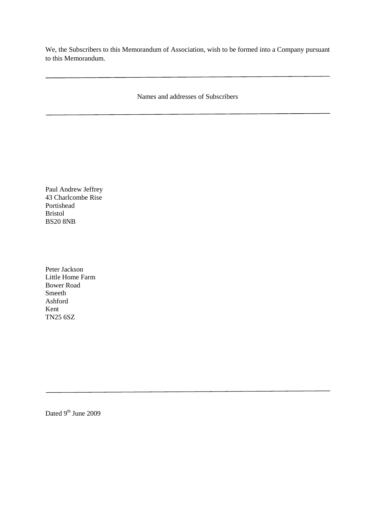We, the Subscribers to this Memorandum of Association, wish to be formed into a Company pursuant to this Memorandum.

Names and addresses of Subscribers

Paul Andrew Jeffrey 43 Charlcombe Rise Portishead Bristol BS20 8NB

Peter Jackson Little Home Farm Bower Road Smeeth Ashford Kent TN25 6SZ

Dated 9<sup>th</sup> June 2009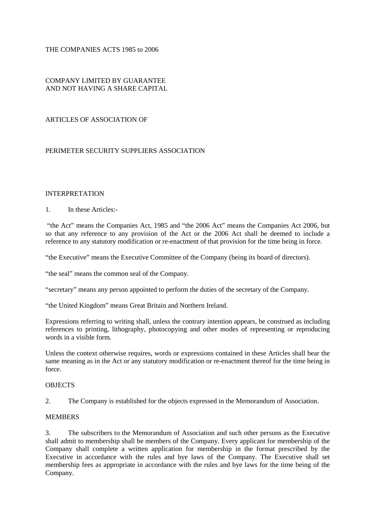#### THE COMPANIES ACTS 1985 to 2006

# COMPANY LIMITED BY GUARANTEE AND NOT HAVING A SHARE CAPITAL

# ARTICLES OF ASSOCIATION OF

# PERIMETER SECURITY SUPPLIERS ASSOCIATION

#### INTERPRETATION

1. In these Articles:-

 "the Act" means the Companies Act, 1985 and "the 2006 Act" means the Companies Act 2006, but so that any reference to any provision of the Act or the 2006 Act shall be deemed to include a reference to any statutory modification or re-enactment of that provision for the time being in force.

"the Executive" means the Executive Committee of the Company (being its board of directors).

"the seal" means the common seal of the Company.

"secretary" means any person appointed to perform the duties of the secretary of the Company.

"the United Kingdom" means Great Britain and Northern Ireland.

Expressions referring to writing shall, unless the contrary intention appears, be construed as including references to printing, lithography, photocopying and other modes of representing or reproducing words in a visible form.

Unless the context otherwise requires, words or expressions contained in these Articles shall bear the same meaning as in the Act or any statutory modification or re-enactment thereof for the time being in force.

# **OBJECTS**

2. The Company is established for the objects expressed in the Memorandum of Association.

#### **MEMBERS**

3. The subscribers to the Memorandum of Association and such other persons as the Executive shall admit to membership shall be members of the Company. Every applicant for membership of the Company shall complete a written application for membership in the format prescribed by the Executive in accordance with the rules and bye laws of the Company. The Executive shall set membership fees as appropriate in accordance with the rules and bye laws for the time being of the Company.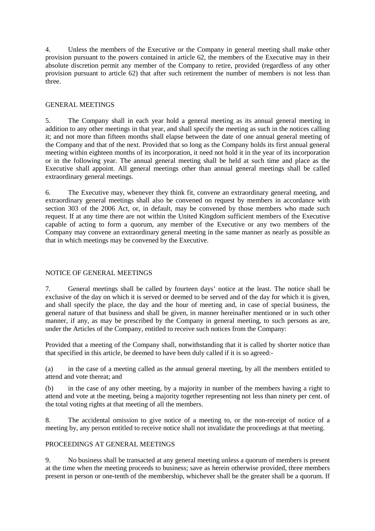4. Unless the members of the Executive or the Company in general meeting shall make other provision pursuant to the powers contained in article 62, the members of the Executive may in their absolute discretion permit any member of the Company to retire, provided (regardless of any other provision pursuant to article 62) that after such retirement the number of members is not less than three.

# GENERAL MEETINGS

5. The Company shall in each year hold a general meeting as its annual general meeting in addition to any other meetings in that year, and shall specify the meeting as such in the notices calling it; and not more than fifteen months shall elapse between the date of one annual general meeting of the Company and that of the next. Provided that so long as the Company holds its first annual general meeting within eighteen months of its incorporation, it need not hold it in the year of its incorporation or in the following year. The annual general meeting shall be held at such time and place as the Executive shall appoint. All general meetings other than annual general meetings shall be called extraordinary general meetings.

6. The Executive may, whenever they think fit, convene an extraordinary general meeting, and extraordinary general meetings shall also be convened on request by members in accordance with section 303 of the 2006 Act, or, in default, may be convened by those members who made such request. If at any time there are not within the United Kingdom sufficient members of the Executive capable of acting to form a quorum, any member of the Executive or any two members of the Company may convene an extraordinary general meeting in the same manner as nearly as possible as that in which meetings may be convened by the Executive.

# NOTICE OF GENERAL MEETINGS

7. General meetings shall be called by fourteen days' notice at the least. The notice shall be exclusive of the day on which it is served or deemed to be served and of the day for which it is given, and shall specify the place, the day and the hour of meeting and, in case of special business, the general nature of that business and shall be given, in manner hereinafter mentioned or in such other manner, if any, as may be prescribed by the Company in general meeting, to such persons as are, under the Articles of the Company, entitled to receive such notices from the Company:

Provided that a meeting of the Company shall, notwithstanding that it is called by shorter notice than that specified in this article, be deemed to have been duly called if it is so agreed:-

(a) in the case of a meeting called as the annual general meeting, by all the members entitled to attend and vote thereat; and

(b) in the case of any other meeting, by a majority in number of the members having a right to attend and vote at the meeting, being a majority together representing not less than ninety per cent. of the total voting rights at that meeting of all the members.

8. The accidental omission to give notice of a meeting to, or the non-receipt of notice of a meeting by, any person entitled to receive notice shall not invalidate the proceedings at that meeting.

#### PROCEEDINGS AT GENERAL MEETINGS

9. No business shall be transacted at any general meeting unless a quorum of members is present at the time when the meeting proceeds to business; save as herein otherwise provided, three members present in person or one-tenth of the membership, whichever shall be the greater shall be a quorum. If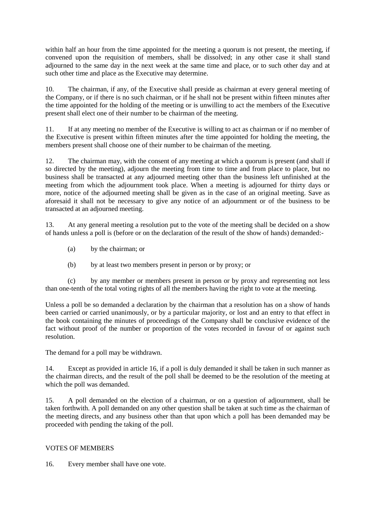within half an hour from the time appointed for the meeting a quorum is not present, the meeting, if convened upon the requisition of members, shall be dissolved; in any other case it shall stand adjourned to the same day in the next week at the same time and place, or to such other day and at such other time and place as the Executive may determine.

10. The chairman, if any, of the Executive shall preside as chairman at every general meeting of the Company, or if there is no such chairman, or if he shall not be present within fifteen minutes after the time appointed for the holding of the meeting or is unwilling to act the members of the Executive present shall elect one of their number to be chairman of the meeting.

11. If at any meeting no member of the Executive is willing to act as chairman or if no member of the Executive is present within fifteen minutes after the time appointed for holding the meeting, the members present shall choose one of their number to be chairman of the meeting.

12. The chairman may, with the consent of any meeting at which a quorum is present (and shall if so directed by the meeting), adjourn the meeting from time to time and from place to place, but no business shall be transacted at any adjourned meeting other than the business left unfinished at the meeting from which the adjournment took place. When a meeting is adjourned for thirty days or more, notice of the adjourned meeting shall be given as in the case of an original meeting. Save as aforesaid it shall not be necessary to give any notice of an adjournment or of the business to be transacted at an adjourned meeting.

13. At any general meeting a resolution put to the vote of the meeting shall be decided on a show of hands unless a poll is (before or on the declaration of the result of the show of hands) demanded:-

- (a) by the chairman; or
- (b) by at least two members present in person or by proxy; or

(c) by any member or members present in person or by proxy and representing not less than one-tenth of the total voting rights of all the members having the right to vote at the meeting.

Unless a poll be so demanded a declaration by the chairman that a resolution has on a show of hands been carried or carried unanimously, or by a particular majority, or lost and an entry to that effect in the book containing the minutes of proceedings of the Company shall be conclusive evidence of the fact without proof of the number or proportion of the votes recorded in favour of or against such resolution.

The demand for a poll may be withdrawn.

14. Except as provided in article 16, if a poll is duly demanded it shall be taken in such manner as the chairman directs, and the result of the poll shall be deemed to be the resolution of the meeting at which the poll was demanded.

15. A poll demanded on the election of a chairman, or on a question of adjournment, shall be taken forthwith. A poll demanded on any other question shall be taken at such time as the chairman of the meeting directs, and any business other than that upon which a poll has been demanded may be proceeded with pending the taking of the poll.

# VOTES OF MEMBERS

16. Every member shall have one vote.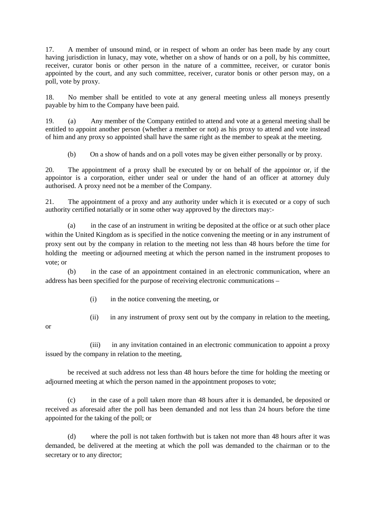17. A member of unsound mind, or in respect of whom an order has been made by any court having jurisdiction in lunacy, may vote, whether on a show of hands or on a poll, by his committee, receiver, curator bonis or other person in the nature of a committee, receiver, or curator bonis appointed by the court, and any such committee, receiver, curator bonis or other person may, on a poll, vote by proxy.

18. No member shall be entitled to vote at any general meeting unless all moneys presently payable by him to the Company have been paid.

19. (a) Any member of the Company entitled to attend and vote at a general meeting shall be entitled to appoint another person (whether a member or not) as his proxy to attend and vote instead of him and any proxy so appointed shall have the same right as the member to speak at the meeting.

(b) On a show of hands and on a poll votes may be given either personally or by proxy.

20. The appointment of a proxy shall be executed by or on behalf of the appointor or, if the appointor is a corporation, either under seal or under the hand of an officer at attorney duly authorised. A proxy need not be a member of the Company.

21. The appointment of a proxy and any authority under which it is executed or a copy of such authority certified notarially or in some other way approved by the directors may:-

(a) in the case of an instrument in writing be deposited at the office or at such other place within the United Kingdom as is specified in the notice convening the meeting or in any instrument of proxy sent out by the company in relation to the meeting not less than 48 hours before the time for holding the meeting or adjourned meeting at which the person named in the instrument proposes to vote; or

(b) in the case of an appointment contained in an electronic communication, where an address has been specified for the purpose of receiving electronic communications –

- (i) in the notice convening the meeting, or
- (ii) in any instrument of proxy sent out by the company in relation to the meeting,
- or

(iii) in any invitation contained in an electronic communication to appoint a proxy issued by the company in relation to the meeting,

be received at such address not less than 48 hours before the time for holding the meeting or adjourned meeting at which the person named in the appointment proposes to vote;

(c) in the case of a poll taken more than 48 hours after it is demanded, be deposited or received as aforesaid after the poll has been demanded and not less than 24 hours before the time appointed for the taking of the poll; or

(d) where the poll is not taken forthwith but is taken not more than 48 hours after it was demanded, be delivered at the meeting at which the poll was demanded to the chairman or to the secretary or to any director;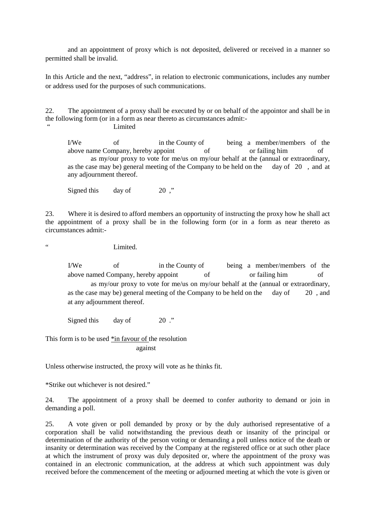and an appointment of proxy which is not deposited, delivered or received in a manner so permitted shall be invalid.

In this Article and the next, "address", in relation to electronic communications, includes any number or address used for the purposes of such communications.

22. The appointment of a proxy shall be executed by or on behalf of the appointor and shall be in the following form (or in a form as near thereto as circumstances admit:- **Limited** 

I/We of in the County of being a member/members of the above name Company, hereby appoint of or failing him of as my/our proxy to vote for me/us on my/our behalf at the (annual or extraordinary, as the case may be) general meeting of the Company to be held on the day of 20 , and at any adjournment thereof.

Signed this day of 20 ,"

23. Where it is desired to afford members an opportunity of instructing the proxy how he shall act the appointment of a proxy shall be in the following form (or in a form as near thereto as circumstances admit:-

" Limited.

 I/We of in the County of being a member/members of the above named Company, hereby appoint of or failing him of as my/our proxy to vote for me/us on my/our behalf at the (annual or extraordinary, as the case may be) general meeting of the Company to be held on the day of 20 , and at any adjournment thereof.

Signed this day of 20 ."

This form is to be used \*in favour of the resolution against

Unless otherwise instructed, the proxy will vote as he thinks fit.

\*Strike out whichever is not desired."

24. The appointment of a proxy shall be deemed to confer authority to demand or join in demanding a poll.

25. A vote given or poll demanded by proxy or by the duly authorised representative of a corporation shall be valid notwithstanding the previous death or insanity of the principal or determination of the authority of the person voting or demanding a poll unless notice of the death or insanity or determination was received by the Company at the registered office or at such other place at which the instrument of proxy was duly deposited or, where the appointment of the proxy was contained in an electronic communication, at the address at which such appointment was duly received before the commencement of the meeting or adjourned meeting at which the vote is given or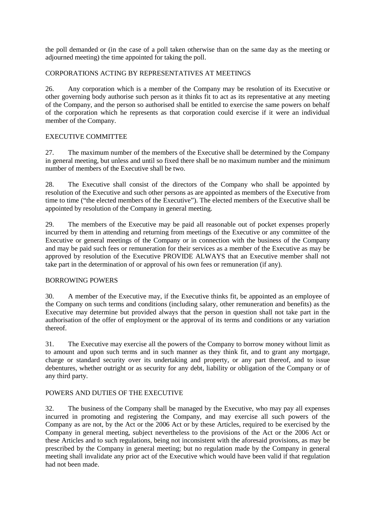the poll demanded or (in the case of a poll taken otherwise than on the same day as the meeting or adjourned meeting) the time appointed for taking the poll.

# CORPORATIONS ACTING BY REPRESENTATIVES AT MEETINGS

26. Any corporation which is a member of the Company may be resolution of its Executive or other governing body authorise such person as it thinks fit to act as its representative at any meeting of the Company, and the person so authorised shall be entitled to exercise the same powers on behalf of the corporation which he represents as that corporation could exercise if it were an individual member of the Company.

# EXECUTIVE COMMITTEE

27. The maximum number of the members of the Executive shall be determined by the Company in general meeting, but unless and until so fixed there shall be no maximum number and the minimum number of members of the Executive shall be two.

28. The Executive shall consist of the directors of the Company who shall be appointed by resolution of the Executive and such other persons as are appointed as members of the Executive from time to time ("the elected members of the Executive"). The elected members of the Executive shall be appointed by resolution of the Company in general meeting.

29. The members of the Executive may be paid all reasonable out of pocket expenses properly incurred by them in attending and returning from meetings of the Executive or any committee of the Executive or general meetings of the Company or in connection with the business of the Company and may be paid such fees or remuneration for their services as a member of the Executive as may be approved by resolution of the Executive PROVIDE ALWAYS that an Executive member shall not take part in the determination of or approval of his own fees or remuneration (if any).

# BORROWING POWERS

30. A member of the Executive may, if the Executive thinks fit, be appointed as an employee of the Company on such terms and conditions (including salary, other remuneration and benefits) as the Executive may determine but provided always that the person in question shall not take part in the authorisation of the offer of employment or the approval of its terms and conditions or any variation thereof.

31. The Executive may exercise all the powers of the Company to borrow money without limit as to amount and upon such terms and in such manner as they think fit, and to grant any mortgage, charge or standard security over its undertaking and property, or any part thereof, and to issue debentures, whether outright or as security for any debt, liability or obligation of the Company or of any third party.

#### POWERS AND DUTIES OF THE EXECUTIVE

32. The business of the Company shall be managed by the Executive, who may pay all expenses incurred in promoting and registering the Company, and may exercise all such powers of the Company as are not, by the Act or the 2006 Act or by these Articles, required to be exercised by the Company in general meeting, subject nevertheless to the provisions of the Act or the 2006 Act or these Articles and to such regulations, being not inconsistent with the aforesaid provisions, as may be prescribed by the Company in general meeting; but no regulation made by the Company in general meeting shall invalidate any prior act of the Executive which would have been valid if that regulation had not been made.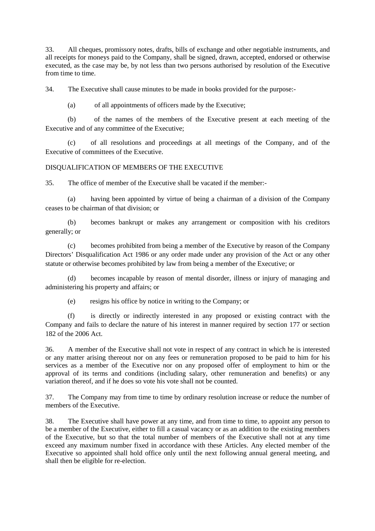33. All cheques, promissory notes, drafts, bills of exchange and other negotiable instruments, and all receipts for moneys paid to the Company, shall be signed, drawn, accepted, endorsed or otherwise executed, as the case may be, by not less than two persons authorised by resolution of the Executive from time to time.

34. The Executive shall cause minutes to be made in books provided for the purpose:-

(a) of all appointments of officers made by the Executive;

(b) of the names of the members of the Executive present at each meeting of the Executive and of any committee of the Executive;

(c) of all resolutions and proceedings at all meetings of the Company, and of the Executive of committees of the Executive.

# DISQUALIFICATION OF MEMBERS OF THE EXECUTIVE

35. The office of member of the Executive shall be vacated if the member:-

(a) having been appointed by virtue of being a chairman of a division of the Company ceases to be chairman of that division; or

(b) becomes bankrupt or makes any arrangement or composition with his creditors generally; or

(c) becomes prohibited from being a member of the Executive by reason of the Company Directors' Disqualification Act 1986 or any order made under any provision of the Act or any other statute or otherwise becomes prohibited by law from being a member of the Executive; or

(d) becomes incapable by reason of mental disorder, illness or injury of managing and administering his property and affairs; or

(e) resigns his office by notice in writing to the Company; or

(f) is directly or indirectly interested in any proposed or existing contract with the Company and fails to declare the nature of his interest in manner required by section 177 or section 182 of the 2006 Act.

36. A member of the Executive shall not vote in respect of any contract in which he is interested or any matter arising thereout nor on any fees or remuneration proposed to be paid to him for his services as a member of the Executive nor on any proposed offer of employment to him or the approval of its terms and conditions (including salary, other remuneration and benefits) or any variation thereof, and if he does so vote his vote shall not be counted.

37. The Company may from time to time by ordinary resolution increase or reduce the number of members of the Executive.

38. The Executive shall have power at any time, and from time to time, to appoint any person to be a member of the Executive, either to fill a casual vacancy or as an addition to the existing members of the Executive, but so that the total number of members of the Executive shall not at any time exceed any maximum number fixed in accordance with these Articles. Any elected member of the Executive so appointed shall hold office only until the next following annual general meeting, and shall then be eligible for re-election.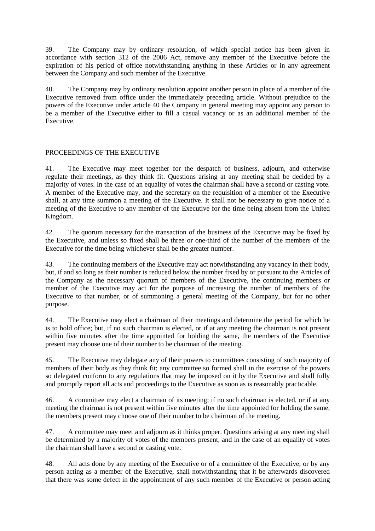39. The Company may by ordinary resolution, of which special notice has been given in accordance with section 312 of the 2006 Act, remove any member of the Executive before the expiration of his period of office notwithstanding anything in these Articles or in any agreement between the Company and such member of the Executive.

40. The Company may by ordinary resolution appoint another person in place of a member of the Executive removed from office under the immediately preceding article. Without prejudice to the powers of the Executive under article 40 the Company in general meeting may appoint any person to be a member of the Executive either to fill a casual vacancy or as an additional member of the Executive.

# PROCEEDINGS OF THE EXECUTIVE

41. The Executive may meet together for the despatch of business, adjourn, and otherwise regulate their meetings, as they think fit. Questions arising at any meeting shall be decided by a majority of votes. In the case of an equality of votes the chairman shall have a second or casting vote. A member of the Executive may, and the secretary on the requisition of a member of the Executive shall, at any time summon a meeting of the Executive. It shall not be necessary to give notice of a meeting of the Executive to any member of the Executive for the time being absent from the United Kingdom.

42. The quorum necessary for the transaction of the business of the Executive may be fixed by the Executive, and unless so fixed shall be three or one-third of the number of the members of the Executive for the time being whichever shall be the greater number.

43. The continuing members of the Executive may act notwithstanding any vacancy in their body, but, if and so long as their number is reduced below the number fixed by or pursuant to the Articles of the Company as the necessary quorum of members of the Executive, the continuing members or member of the Executive may act for the purpose of increasing the number of members of the Executive to that number, or of summoning a general meeting of the Company, but for no other purpose.

44. The Executive may elect a chairman of their meetings and determine the period for which he is to hold office; but, if no such chairman is elected, or if at any meeting the chairman is not present within five minutes after the time appointed for holding the same, the members of the Executive present may choose one of their number to be chairman of the meeting.

45. The Executive may delegate any of their powers to committees consisting of such majority of members of their body as they think fit; any committee so formed shall in the exercise of the powers so delegated conform to any regulations that may be imposed on it by the Executive and shall fully and promptly report all acts and proceedings to the Executive as soon as is reasonably practicable.

46. A committee may elect a chairman of its meeting; if no such chairman is elected, or if at any meeting the chairman is not present within five minutes after the time appointed for holding the same, the members present may choose one of their number to be chairman of the meeting.

47. A committee may meet and adjourn as it thinks proper. Questions arising at any meeting shall be determined by a majority of votes of the members present, and in the case of an equality of votes the chairman shall have a second or casting vote.

48. All acts done by any meeting of the Executive or of a committee of the Executive, or by any person acting as a member of the Executive, shall notwithstanding that it be afterwards discovered that there was some defect in the appointment of any such member of the Executive or person acting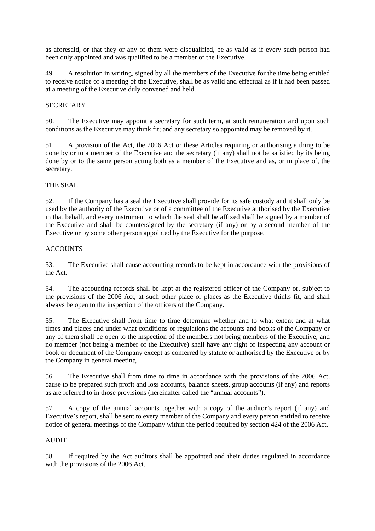as aforesaid, or that they or any of them were disqualified, be as valid as if every such person had been duly appointed and was qualified to be a member of the Executive.

49. A resolution in writing, signed by all the members of the Executive for the time being entitled to receive notice of a meeting of the Executive, shall be as valid and effectual as if it had been passed at a meeting of the Executive duly convened and held.

# **SECRETARY**

50. The Executive may appoint a secretary for such term, at such remuneration and upon such conditions as the Executive may think fit; and any secretary so appointed may be removed by it.

51. A provision of the Act, the 2006 Act or these Articles requiring or authorising a thing to be done by or to a member of the Executive and the secretary (if any) shall not be satisfied by its being done by or to the same person acting both as a member of the Executive and as, or in place of, the secretary.

#### THE SEAL

52. If the Company has a seal the Executive shall provide for its safe custody and it shall only be used by the authority of the Executive or of a committee of the Executive authorised by the Executive in that behalf, and every instrument to which the seal shall be affixed shall be signed by a member of the Executive and shall be countersigned by the secretary (if any) or by a second member of the Executive or by some other person appointed by the Executive for the purpose.

# **ACCOUNTS**

53. The Executive shall cause accounting records to be kept in accordance with the provisions of the Act.

54. The accounting records shall be kept at the registered officer of the Company or, subject to the provisions of the 2006 Act, at such other place or places as the Executive thinks fit, and shall always be open to the inspection of the officers of the Company.

55. The Executive shall from time to time determine whether and to what extent and at what times and places and under what conditions or regulations the accounts and books of the Company or any of them shall be open to the inspection of the members not being members of the Executive, and no member (not being a member of the Executive) shall have any right of inspecting any account or book or document of the Company except as conferred by statute or authorised by the Executive or by the Company in general meeting.

56. The Executive shall from time to time in accordance with the provisions of the 2006 Act, cause to be prepared such profit and loss accounts, balance sheets, group accounts (if any) and reports as are referred to in those provisions (hereinafter called the "annual accounts").

57. A copy of the annual accounts together with a copy of the auditor's report (if any) and Executive's report, shall be sent to every member of the Company and every person entitled to receive notice of general meetings of the Company within the period required by section 424 of the 2006 Act.

#### AUDIT

58. If required by the Act auditors shall be appointed and their duties regulated in accordance with the provisions of the 2006 Act.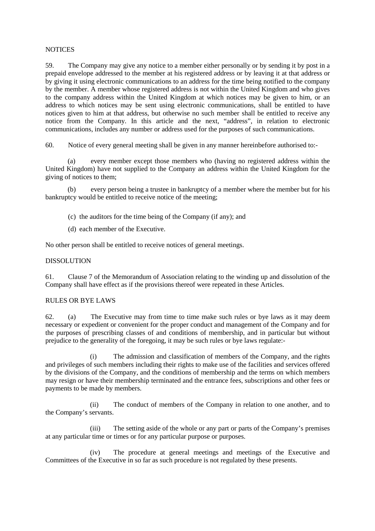#### NOTICES

59. The Company may give any notice to a member either personally or by sending it by post in a prepaid envelope addressed to the member at his registered address or by leaving it at that address or by giving it using electronic communications to an address for the time being notified to the company by the member. A member whose registered address is not within the United Kingdom and who gives to the company address within the United Kingdom at which notices may be given to him, or an address to which notices may be sent using electronic communications, shall be entitled to have notices given to him at that address, but otherwise no such member shall be entitled to receive any notice from the Company. In this article and the next, "address", in relation to electronic communications, includes any number or address used for the purposes of such communications.

60. Notice of every general meeting shall be given in any manner hereinbefore authorised to:-

(a) every member except those members who (having no registered address within the United Kingdom) have not supplied to the Company an address within the United Kingdom for the giving of notices to them;

(b) every person being a trustee in bankruptcy of a member where the member but for his bankruptcy would be entitled to receive notice of the meeting;

- (c) the auditors for the time being of the Company (if any); and
- (d) each member of the Executive.

No other person shall be entitled to receive notices of general meetings.

#### DISSOLUTION

61. Clause 7 of the Memorandum of Association relating to the winding up and dissolution of the Company shall have effect as if the provisions thereof were repeated in these Articles.

#### RULES OR BYE LAWS

62. (a) The Executive may from time to time make such rules or bye laws as it may deem necessary or expedient or convenient for the proper conduct and management of the Company and for the purposes of prescribing classes of and conditions of membership, and in particular but without prejudice to the generality of the foregoing, it may be such rules or bye laws regulate:-

(i) The admission and classification of members of the Company, and the rights and privileges of such members including their rights to make use of the facilities and services offered by the divisions of the Company, and the conditions of membership and the terms on which members may resign or have their membership terminated and the entrance fees, subscriptions and other fees or payments to be made by members.

(ii) The conduct of members of the Company in relation to one another, and to the Company's servants.

(iii) The setting aside of the whole or any part or parts of the Company's premises at any particular time or times or for any particular purpose or purposes.

(iv) The procedure at general meetings and meetings of the Executive and Committees of the Executive in so far as such procedure is not regulated by these presents.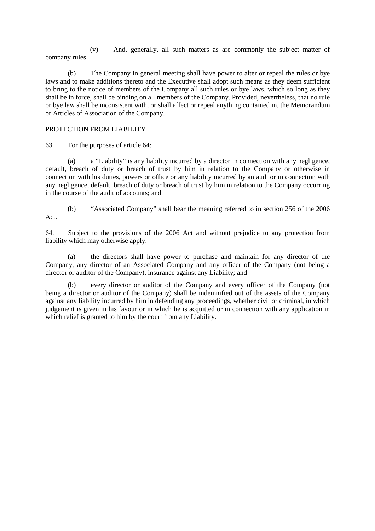(v) And, generally, all such matters as are commonly the subject matter of company rules.

(b) The Company in general meeting shall have power to alter or repeal the rules or bye laws and to make additions thereto and the Executive shall adopt such means as they deem sufficient to bring to the notice of members of the Company all such rules or bye laws, which so long as they shall be in force, shall be binding on all members of the Company. Provided, nevertheless, that no rule or bye law shall be inconsistent with, or shall affect or repeal anything contained in, the Memorandum or Articles of Association of the Company.

#### PROTECTION FROM LIABILITY

63. For the purposes of article 64:

(a) a "Liability" is any liability incurred by a director in connection with any negligence, default, breach of duty or breach of trust by him in relation to the Company or otherwise in connection with his duties, powers or office or any liability incurred by an auditor in connection with any negligence, default, breach of duty or breach of trust by him in relation to the Company occurring in the course of the audit of accounts; and

(b) "Associated Company" shall bear the meaning referred to in section 256 of the 2006 Act.

64. Subject to the provisions of the 2006 Act and without prejudice to any protection from liability which may otherwise apply:

(a) the directors shall have power to purchase and maintain for any director of the Company, any director of an Associated Company and any officer of the Company (not being a director or auditor of the Company), insurance against any Liability; and

(b) every director or auditor of the Company and every officer of the Company (not being a director or auditor of the Company) shall be indemnified out of the assets of the Company against any liability incurred by him in defending any proceedings, whether civil or criminal, in which judgement is given in his favour or in which he is acquitted or in connection with any application in which relief is granted to him by the court from any Liability.